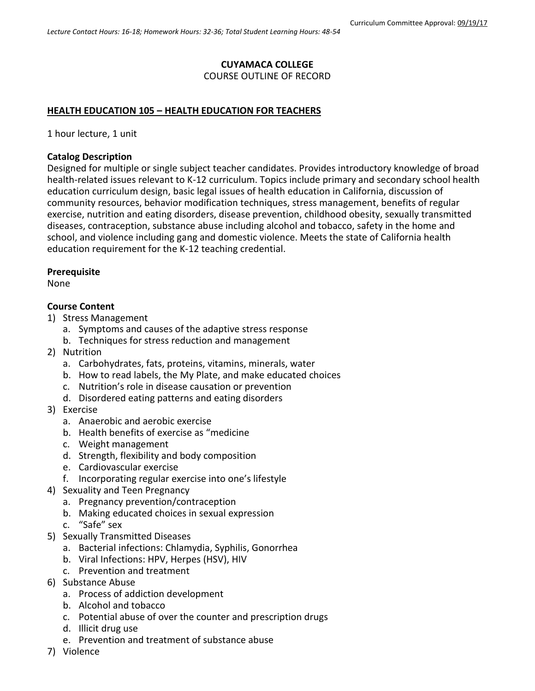## **CUYAMACA COLLEGE**

COURSE OUTLINE OF RECORD

## **HEALTH EDUCATION 105 – HEALTH EDUCATION FOR TEACHERS**

1 hour lecture, 1 unit

### **Catalog Description**

Designed for multiple or single subject teacher candidates. Provides introductory knowledge of broad health-related issues relevant to K-12 curriculum. Topics include primary and secondary school health education curriculum design, basic legal issues of health education in California, discussion of community resources, behavior modification techniques, stress management, benefits of regular exercise, nutrition and eating disorders, disease prevention, childhood obesity, sexually transmitted diseases, contraception, substance abuse including alcohol and tobacco, safety in the home and school, and violence including gang and domestic violence. Meets the state of California health education requirement for the K-12 teaching credential.

### **Prerequisite**

None

### **Course Content**

- 1) Stress Management
	- a. Symptoms and causes of the adaptive stress response
	- b. Techniques for stress reduction and management
- 2) Nutrition
	- a. Carbohydrates, fats, proteins, vitamins, minerals, water
	- b. How to read labels, the My Plate, and make educated choices
	- c. Nutrition's role in disease causation or prevention
	- d. Disordered eating patterns and eating disorders
- 3) Exercise
	- a. Anaerobic and aerobic exercise
	- b. Health benefits of exercise as "medicine
	- c. Weight management
	- d. Strength, flexibility and body composition
	- e. Cardiovascular exercise
	- f. Incorporating regular exercise into one's lifestyle
- 4) Sexuality and Teen Pregnancy
	- a. Pregnancy prevention/contraception
	- b. Making educated choices in sexual expression
	- c. "Safe" sex
- 5) Sexually Transmitted Diseases
	- a. Bacterial infections: Chlamydia, Syphilis, Gonorrhea
	- b. Viral Infections: HPV, Herpes (HSV), HIV
	- c. Prevention and treatment
- 6) Substance Abuse
	- a. Process of addiction development
	- b. Alcohol and tobacco
	- c. Potential abuse of over the counter and prescription drugs
	- d. Illicit drug use
	- e. Prevention and treatment of substance abuse
- 7) Violence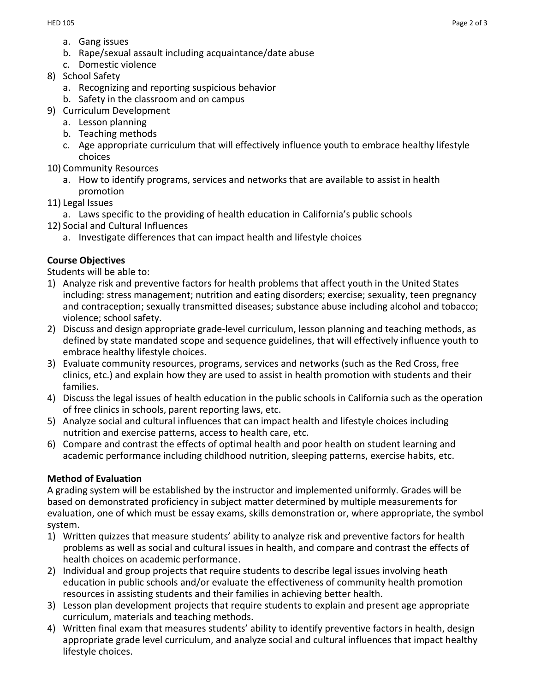- a. Gang issues
- b. Rape/sexual assault including acquaintance/date abuse
- c. Domestic violence
- 8) School Safety
	- a. Recognizing and reporting suspicious behavior
	- b. Safety in the classroom and on campus
- 9) Curriculum Development
	- a. Lesson planning
	- b. Teaching methods
	- c. Age appropriate curriculum that will effectively influence youth to embrace healthy lifestyle choices
- 10) Community Resources
	- a. How to identify programs, services and networks that are available to assist in health promotion
- 11) Legal Issues
	- a. Laws specific to the providing of health education in California's public schools
- 12) Social and Cultural Influences
	- a. Investigate differences that can impact health and lifestyle choices

# **Course Objectives**

Students will be able to:

- 1) Analyze risk and preventive factors for health problems that affect youth in the United States including: stress management; nutrition and eating disorders; exercise; sexuality, teen pregnancy and contraception; sexually transmitted diseases; substance abuse including alcohol and tobacco; violence; school safety.
- 2) Discuss and design appropriate grade-level curriculum, lesson planning and teaching methods, as defined by state mandated scope and sequence guidelines, that will effectively influence youth to embrace healthy lifestyle choices.
- 3) Evaluate community resources, programs, services and networks (such as the Red Cross, free clinics, etc.) and explain how they are used to assist in health promotion with students and their families.
- 4) Discuss the legal issues of health education in the public schools in California such as the operation of free clinics in schools, parent reporting laws, etc.
- 5) Analyze social and cultural influences that can impact health and lifestyle choices including nutrition and exercise patterns, access to health care, etc.
- 6) Compare and contrast the effects of optimal health and poor health on student learning and academic performance including childhood nutrition, sleeping patterns, exercise habits, etc.

# **Method of Evaluation**

A grading system will be established by the instructor and implemented uniformly. Grades will be based on demonstrated proficiency in subject matter determined by multiple measurements for evaluation, one of which must be essay exams, skills demonstration or, where appropriate, the symbol system.

- 1) Written quizzes that measure students' ability to analyze risk and preventive factors for health problems as well as social and cultural issues in health, and compare and contrast the effects of health choices on academic performance.
- 2) Individual and group projects that require students to describe legal issues involving heath education in public schools and/or evaluate the effectiveness of community health promotion resources in assisting students and their families in achieving better health.
- 3) Lesson plan development projects that require students to explain and present age appropriate curriculum, materials and teaching methods.
- 4) Written final exam that measures students' ability to identify preventive factors in health, design appropriate grade level curriculum, and analyze social and cultural influences that impact healthy lifestyle choices.